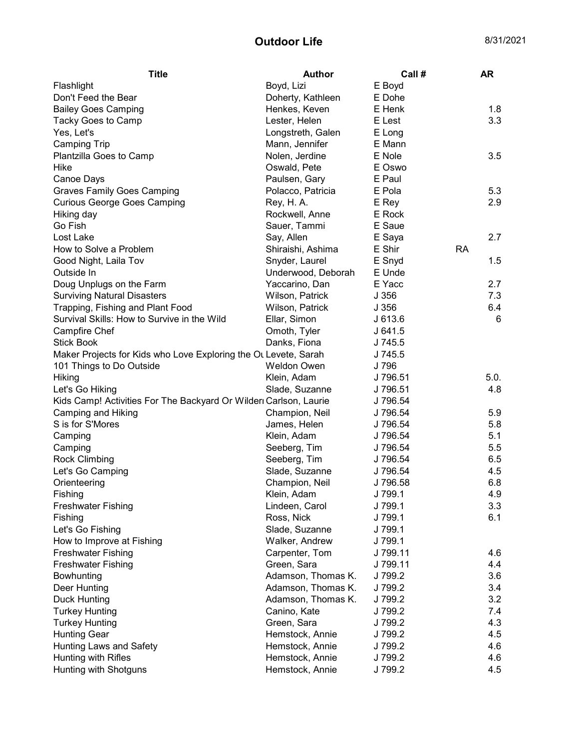## Outdoor Life 8/31/2021

| <b>Title</b>                                                     | Author             | Call #   |           | <b>AR</b> |
|------------------------------------------------------------------|--------------------|----------|-----------|-----------|
| Flashlight                                                       | Boyd, Lizi         | E Boyd   |           |           |
| Don't Feed the Bear                                              | Doherty, Kathleen  | E Dohe   |           |           |
| <b>Bailey Goes Camping</b>                                       | Henkes, Keven      | E Henk   |           | 1.8       |
| Tacky Goes to Camp                                               | Lester, Helen      | E Lest   |           | 3.3       |
| Yes, Let's                                                       | Longstreth, Galen  | E Long   |           |           |
| <b>Camping Trip</b>                                              | Mann, Jennifer     | E Mann   |           |           |
| Plantzilla Goes to Camp                                          | Nolen, Jerdine     | E Nole   |           | 3.5       |
| Hike                                                             | Oswald, Pete       | E Oswo   |           |           |
| Canoe Days                                                       | Paulsen, Gary      | E Paul   |           |           |
| <b>Graves Family Goes Camping</b>                                | Polacco, Patricia  | E Pola   |           | 5.3       |
| <b>Curious George Goes Camping</b>                               | Rey, H. A.         | E Rey    |           | 2.9       |
| Hiking day                                                       | Rockwell, Anne     | E Rock   |           |           |
| Go Fish                                                          | Sauer, Tammi       | E Saue   |           |           |
| Lost Lake                                                        | Say, Allen         | E Saya   |           | 2.7       |
| How to Solve a Problem                                           | Shiraishi, Ashima  | E Shir   | <b>RA</b> |           |
| Good Night, Laila Tov                                            | Snyder, Laurel     | E Snyd   |           | 1.5       |
| Outside In                                                       | Underwood, Deborah | E Unde   |           |           |
| Doug Unplugs on the Farm                                         | Yaccarino, Dan     | E Yacc   |           | 2.7       |
| <b>Surviving Natural Disasters</b>                               | Wilson, Patrick    | J 356    |           | 7.3       |
| Trapping, Fishing and Plant Food                                 | Wilson, Patrick    | J356     |           | 6.4       |
| Survival Skills: How to Survive in the Wild                      | Ellar, Simon       | J 613.6  |           | 6         |
| Campfire Chef                                                    | Omoth, Tyler       | J 641.5  |           |           |
| <b>Stick Book</b>                                                | Danks, Fiona       | J 745.5  |           |           |
| Maker Projects for Kids who Love Exploring the OL Levete, Sarah  |                    | J 745.5  |           |           |
| 101 Things to Do Outside                                         | Weldon Owen        | J 796    |           |           |
| Hiking                                                           | Klein, Adam        | J 796.51 |           | 5.0.      |
| Let's Go Hiking                                                  | Slade, Suzanne     | J 796.51 |           | 4.8       |
| Kids Camp! Activities For The Backyard Or Wilder Carlson, Laurie |                    | J 796.54 |           |           |
| Camping and Hiking                                               | Champion, Neil     | J 796.54 |           | 5.9       |
| S is for S'Mores                                                 | James, Helen       | J 796.54 |           | 5.8       |
| Camping                                                          | Klein, Adam        | J 796.54 |           | 5.1       |
| Camping                                                          | Seeberg, Tim       | J 796.54 |           | 5.5       |
| <b>Rock Climbing</b>                                             | Seeberg, Tim       | J 796.54 |           | 6.5       |
| Let's Go Camping                                                 | Slade, Suzanne     | J 796.54 |           | 4.5       |
| Orienteering                                                     | Champion, Neil     | J 796.58 |           | 6.8       |
| Fishing                                                          | Klein, Adam        | J 799.1  |           | 4.9       |
| <b>Freshwater Fishing</b>                                        | Lindeen, Carol     | J 799.1  |           | 3.3       |
| Fishing                                                          | Ross, Nick         | J 799.1  |           | 6.1       |
| Let's Go Fishing                                                 | Slade, Suzanne     | J 799.1  |           |           |
| How to Improve at Fishing                                        | Walker, Andrew     | J 799.1  |           |           |
| <b>Freshwater Fishing</b>                                        | Carpenter, Tom     | J 799.11 |           | 4.6       |
| <b>Freshwater Fishing</b>                                        | Green, Sara        | J 799.11 |           | 4.4       |
| Bowhunting                                                       | Adamson, Thomas K. | J 799.2  |           | 3.6       |
| Deer Hunting                                                     | Adamson, Thomas K. | J 799.2  |           | 3.4       |
| <b>Duck Hunting</b>                                              | Adamson, Thomas K. | J 799.2  |           | 3.2       |
| <b>Turkey Hunting</b>                                            | Canino, Kate       | J 799.2  |           | 7.4       |
| <b>Turkey Hunting</b>                                            | Green, Sara        | J 799.2  |           | 4.3       |
| <b>Hunting Gear</b>                                              | Hemstock, Annie    | J 799.2  |           | 4.5       |
| Hunting Laws and Safety                                          | Hemstock, Annie    | J 799.2  |           | 4.6       |
| Hunting with Rifles                                              | Hemstock, Annie    | J 799.2  |           | 4.6       |
| Hunting with Shotguns                                            | Hemstock, Annie    | J 799.2  |           | 4.5       |
|                                                                  |                    |          |           |           |